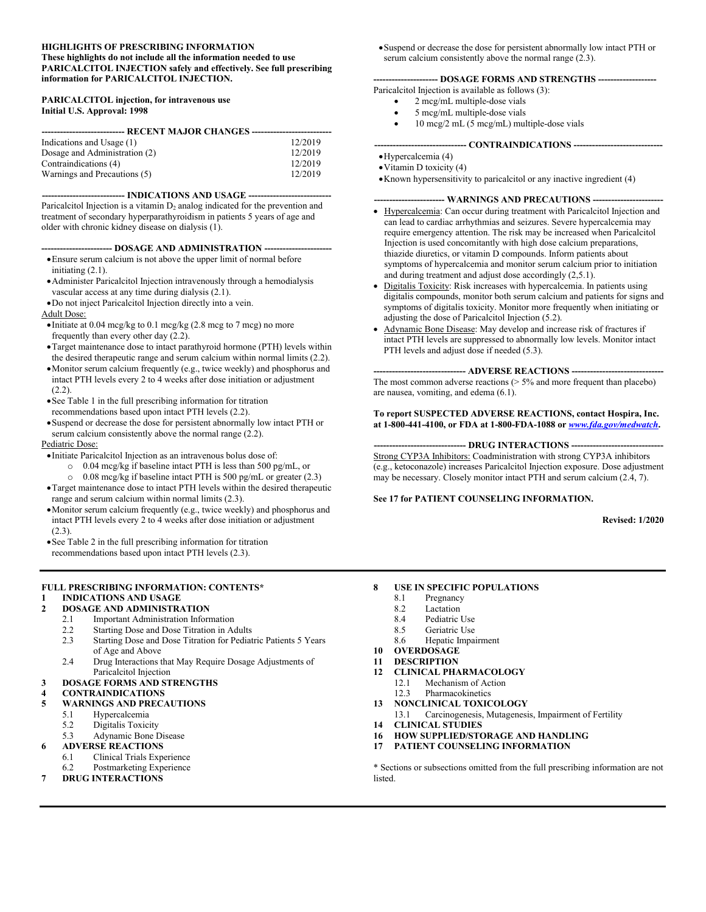#### **HIGHLIGHTS OF PRESCRIBING INFORMATION These highlights do not include all the information needed to use PARICALCITOL INJECTION safely and effectively. See full prescribing information for PARICALCITOL INJECTION.**

#### **PARICALCITOL injection, for intravenous use Initial U.S. Approval: 1998**

| --------------------------- RECENT MAJOR CHANGES --------- |         |  |
|------------------------------------------------------------|---------|--|
| Indications and Usage (1)                                  | 12/2019 |  |
| Dosage and Administration (2)                              | 12/2019 |  |
| Contraindications (4)                                      | 12/2019 |  |
| Warnings and Precautions (5)                               | 12/2019 |  |

--- **INDICATIONS AND USAGE --**

Paricalcitol Injection is a vitamin  $D_2$  analog indicated for the prevention and treatment of secondary hyperparathyroidism in patients 5 years of age and older with chronic kidney disease on dialysis (1).

#### **----------------------- DOSAGE AND ADMINISTRATION ----------------------**

- Ensure serum calcium is not above the upper limit of normal before initiating (2.1).
- Administer Paricalcitol Injection intravenously through a hemodialysis vascular access at any time during dialysis (2.1).
- Do not inject Paricalcitol Injection directly into a vein.

Adult Dose:

- $\bullet$  Initiate at 0.04 mcg/kg to 0.1 mcg/kg (2.8 mcg to 7 mcg) no more frequently than every other day (2.2).
- Target maintenance dose to intact parathyroid hormone (PTH) levels within the desired therapeutic range and serum calcium within normal limits (2.2).
- Monitor serum calcium frequently (e.g., twice weekly) and phosphorus and intact PTH levels every 2 to 4 weeks after dose initiation or adjustment  $(2.2).$
- See Table 1 in the full prescribing information for titration recommendations based upon intact PTH levels (2.2).
- Suspend or decrease the dose for persistent abnormally low intact PTH or serum calcium consistently above the normal range (2.2).

#### Pediatric Dose:

- $\bullet$  Initiate Paricalcitol Injection as an intravenous bolus dose of:
	- o 0.04 mcg/kg if baseline intact PTH is less than 500 pg/mL, or
	- o 0.08 mcg/kg if baseline intact PTH is 500 pg/mL or greater (2.3)
- Target maintenance dose to intact PTH levels within the desired therapeutic range and serum calcium within normal limits (2.3).
- Monitor serum calcium frequently (e.g., twice weekly) and phosphorus and intact PTH levels every 2 to 4 weeks after dose initiation or adjustment  $(2.3)$ .
- See Table 2 in the full prescribing information for titration recommendations based upon intact PTH levels (2.3).

#### **FULL PRESCRIBING INFORMATION: CONTENTS\***

# **1 INDICATIONS AND USAGE**

#### **2 DOSAGE AND ADMINISTRATION**

- 2.1 Important Administration Information
- 2.2 Starting Dose and Dose Titration in Adults
- 2.3 Starting Dose and Dose Titration for Pediatric Patients 5 Years of Age and Above
- 2.4 Drug Interactions that May Require Dosage Adjustments of Paricalcitol Injection

## **3 DOSAGE FORMS AND STRENGTHS**

#### **4 CONTRAINDICATIONS**

- **5 WARNINGS AND PRECAUTIONS**
	- 5.1 Hypercalcemia
	- 5.2 Digitalis Toxicity
	- 5.3 Adynamic Bone Disease

## **6 ADVERSE REACTIONS**

- 6.1 Clinical Trials Experience
- 6.2 Postmarketing Experience
- **7 DRUG INTERACTIONS**

Suspend or decrease the dose for persistent abnormally low intact PTH or serum calcium consistently above the normal range  $(2.3)$ .

#### **--------------------- DOSAGE FORMS AND STRENGTHS -------------------**

- Paricalcitol Injection is available as follows (3):
	- 2 mcg/mL multiple-dose vials
	- 5 mcg/mL multiple-dose vials
	- $\bullet$  10 mcg/2 mL (5 mcg/mL) multiple-dose vials

#### **------------------------------ CONTRAINDICATIONS -----------------------------**

- Hypercalcemia (4)
- Vitamin D toxicity (4)
- Known hypersensitivity to paricalcitol or any inactive ingredient (4)

#### **----------------------- WARNINGS AND PRECAUTIONS -----------------------**

- Hypercalcemia: Can occur during treatment with Paricalcitol Injection and can lead to cardiac arrhythmias and seizures. Severe hypercalcemia may require emergency attention. The risk may be increased when Paricalcitol Injection is used concomitantly with high dose calcium preparations, thiazide diuretics, or vitamin D compounds. Inform patients about symptoms of hypercalcemia and monitor serum calcium prior to initiation and during treatment and adjust dose accordingly (2,5.1).
- Digitalis Toxicity: Risk increases with hypercalcemia. In patients using digitalis compounds, monitor both serum calcium and patients for signs and symptoms of digitalis toxicity. Monitor more frequently when initiating or adjusting the dose of Paricalcitol Injection (5.2).
- Adynamic Bone Disease: May develop and increase risk of fractures if intact PTH levels are suppressed to abnormally low levels. Monitor intact PTH levels and adjust dose if needed  $(5.3)$ .

#### **------------------------------ ADVERSE REACTIONS ------------------------------**

The most common adverse reactions  $($  > 5% and more frequent than placebo) are nausea, vomiting, and edema (6.1).

#### **To report SUSPECTED ADVERSE REACTIONS, contact Hospira, Inc. at 1-800-441-4100, or FDA at 1-800-FDA-1088 or** *[www.fda.gov/medwatch](http://www.fda.gov/medwatch)***.**

#### **------------------------------ DRUG INTERACTIONS ------------------------------**

Strong CYP3A Inhibitors: Coadministration with strong CYP3A inhibitors (e.g., ketoconazole) increases Paricalcitol Injection exposure. Dose adjustment may be necessary. Closely monitor intact PTH and serum calcium (2.4, 7).

### **See 17 for PATIENT COUNSELING INFORMATION.**

**Revised: 1/2020**

## **8 USE IN SPECIFIC POPULATIONS**

- 8.1 Pregnancy<br>8.2 Lactation
- Lactation
- 8.4 Pediatric Use
- 8.5 Geriatric Use
- 8.6 Hepatic Impairment
- **10 OVERDOSAGE**
- **11 DESCRIPTION**
- **12 CLINICAL PHARMACOLOGY** 12.1 Mechanism of Action
	- 12.3 Pharmacokinetics
- **13 NONCLINICAL TOXICOLOGY**
- 13.1 Carcinogenesis, Mutagenesis, Impairment of Fertility
- **14 CLINICAL STUDIES**
- **16 HOW SUPPLIED/STORAGE AND HANDLING**
- **17 PATIENT COUNSELING INFORMATION**

\* Sections or subsections omitted from the full prescribing information are not listed.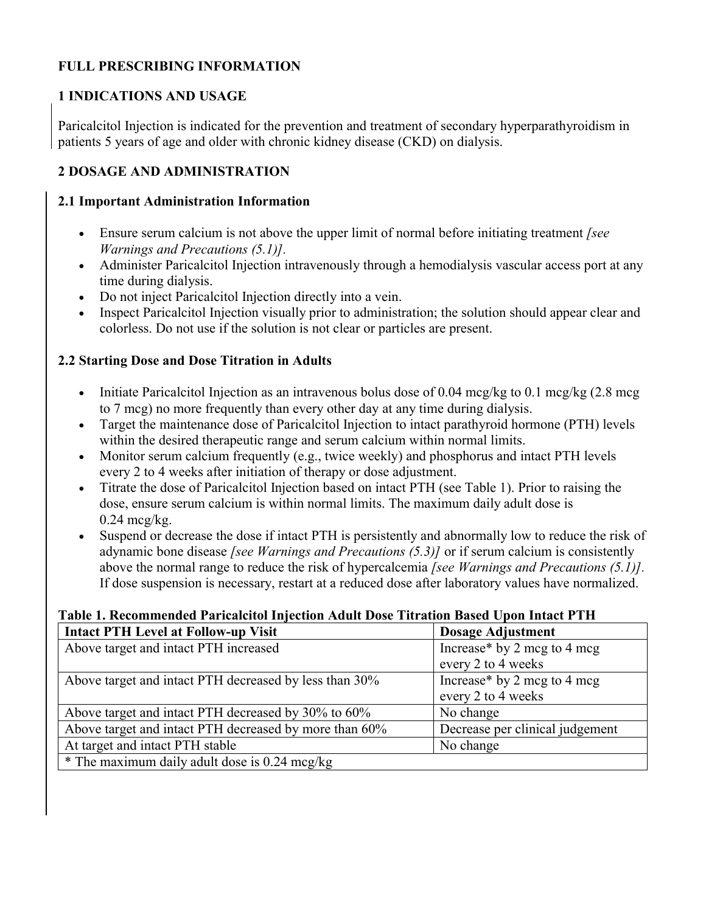# **FULL PRESCRIBING INFORMATION**

# **1 INDICATIONS AND USAGE**

Paricalcitol Injection is indicated for the prevention and treatment of secondary hyperparathyroidism in patients 5 years of age and older with chronic kidney disease (CKD) on dialysis.

# **2 DOSAGE AND ADMINISTRATION**

## **2.1 Important Administration Information**

- Ensure serum calcium is not above the upper limit of normal before initiating treatment *[see Warnings and Precautions (5.1)].*
- Administer Paricalcitol Injection intravenously through a hemodialysis vascular access port at any time during dialysis.
- Do not inject Paricalcitol Injection directly into a vein.
- Inspect Paricalcitol Injection visually prior to administration; the solution should appear clear and colorless. Do not use if the solution is not clear or particles are present.

# **2.2 Starting Dose and Dose Titration in Adults**

- Initiate Paricalcitol Injection as an intravenous bolus dose of 0.04 mcg/kg to 0.1 mcg/kg  $(2.8 \text{ mg})$ to 7 mcg) no more frequently than every other day at any time during dialysis.
- Target the maintenance dose of Paricalcitol Injection to intact parathyroid hormone (PTH) levels within the desired therapeutic range and serum calcium within normal limits.
- Monitor serum calcium frequently (e.g., twice weekly) and phosphorus and intact PTH levels every 2 to 4 weeks after initiation of therapy or dose adjustment.
- Titrate the dose of Paricalcitol Injection based on intact PTH (see Table 1). Prior to raising the dose, ensure serum calcium is within normal limits. The maximum daily adult dose is  $0.24$  mcg/kg.
- Suspend or decrease the dose if intact PTH is persistently and abnormally low to reduce the risk of adynamic bone disease *[see Warnings and Precautions (5.3)]* or if serum calcium is consistently above the normal range to reduce the risk of hypercalcemia *[see Warnings and Precautions (5.1)].* If dose suspension is necessary, restart at a reduced dose after laboratory values have normalized.

# **Table 1. Recommended Paricalcitol Injection Adult Dose Titration Based Upon Intact PTH**

| <b>Intact PTH Level at Follow-up Visit</b>             | <b>Dosage Adjustment</b>        |
|--------------------------------------------------------|---------------------------------|
| Above target and intact PTH increased                  | Increase* by 2 mcg to 4 mcg     |
|                                                        | every 2 to 4 weeks              |
| Above target and intact PTH decreased by less than 30% | Increase* by 2 mcg to 4 mcg     |
|                                                        | every 2 to 4 weeks              |
| Above target and intact PTH decreased by 30% to 60%    | No change                       |
| Above target and intact PTH decreased by more than 60% | Decrease per clinical judgement |
| At target and intact PTH stable                        | No change                       |
| * The maximum daily adult dose is 0.24 mcg/kg          |                                 |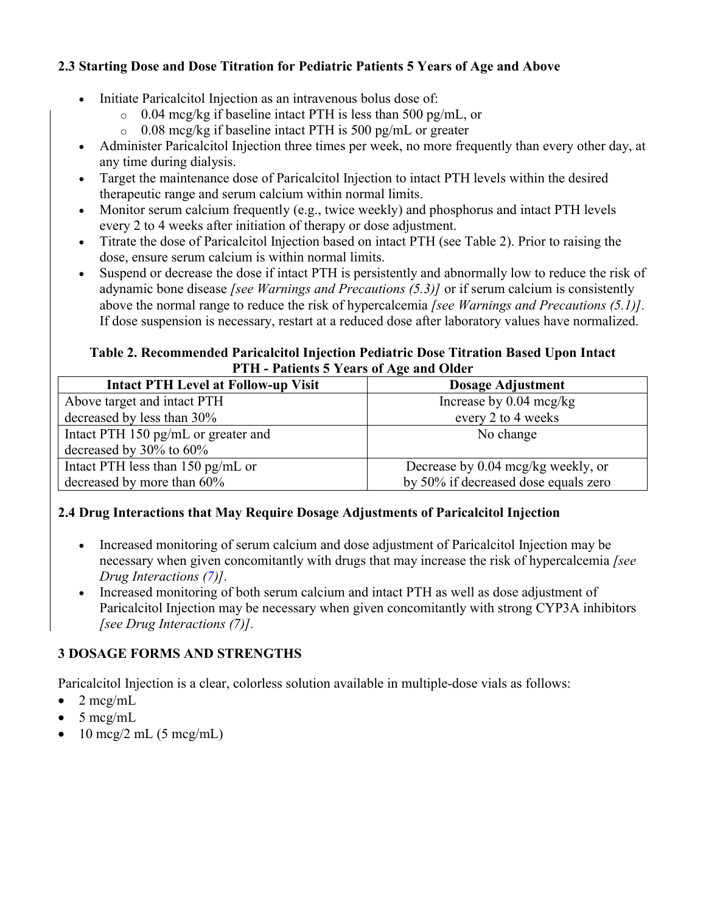# **2.3 Starting Dose and Dose Titration for Pediatric Patients 5 Years of Age and Above**

- Initiate Paricalcitol Injection as an intravenous bolus dose of:
	- $\degree$  0.04 mcg/kg if baseline intact PTH is less than 500 pg/mL, or
	- $\degree$  0.08 mcg/kg if baseline intact PTH is 500 pg/mL or greater
- Administer Paricalcitol Injection three times per week, no more frequently than every other day, at any time during dialysis.
- Target the maintenance dose of Paricalcitol Injection to intact PTH levels within the desired therapeutic range and serum calcium within normal limits.
- Monitor serum calcium frequently (e.g., twice weekly) and phosphorus and intact PTH levels every 2 to 4 weeks after initiation of therapy or dose adjustment.
- Titrate the dose of Paricalcitol Injection based on intact PTH (see Table 2). Prior to raising the dose, ensure serum calcium is within normal limits.
- Suspend or decrease the dose if intact PTH is persistently and abnormally low to reduce the risk of adynamic bone disease *[see Warnings and Precautions (5.3)]* or if serum calcium is consistently above the normal range to reduce the risk of hypercalcemia *[see Warnings and Precautions (5.1)].* If dose suspension is necessary, restart at a reduced dose after laboratory values have normalized.

## **Table 2. Recommended Paricalcitol Injection Pediatric Dose Titration Based Upon Intact PTH - Patients 5 Years of Age and Older**

| <b>Intact PTH Level at Follow-up Visit</b> | <b>Dosage Adjustment</b>             |  |
|--------------------------------------------|--------------------------------------|--|
| Above target and intact PTH                | Increase by $0.04 \text{~mcg/kg}$    |  |
| decreased by less than 30%                 | every 2 to 4 weeks                   |  |
| Intact PTH 150 pg/mL or greater and        | No change                            |  |
| decreased by $30\%$ to $60\%$              |                                      |  |
| Intact PTH less than $150$ pg/mL or        | Decrease by 0.04 mcg/kg weekly, or   |  |
| decreased by more than 60%                 | by 50% if decreased dose equals zero |  |

# **2.4 Drug Interactions that May Require Dosage Adjustments of Paricalcitol Injection**

- Increased monitoring of serum calcium and dose adjustment of Paricalcitol Injection may be necessary when given concomitantly with drugs that may increase the risk of hypercalcemia *[see Drug Interactions ([7\)](https://dailymed.nlm.nih.gov/dailymed/drugInfo.cfm?setid=7259652f-81bc-4ad1-bba5-d01f9fac1b80#section_7)].*
- Increased monitoring of both serum calcium and intact PTH as well as dose adjustment of Paricalcitol Injection may be necessary when given concomitantly with strong CYP3A inhibitors *[see Drug Interactions (7)].*

# **3 DOSAGE FORMS AND STRENGTHS**

Paricalcitol Injection is a clear, colorless solution available in multiple-dose vials as follows:

- $\bullet$  2 mcg/mL
- 5 mcg/mL
- 10 mcg/2 mL (5 mcg/mL)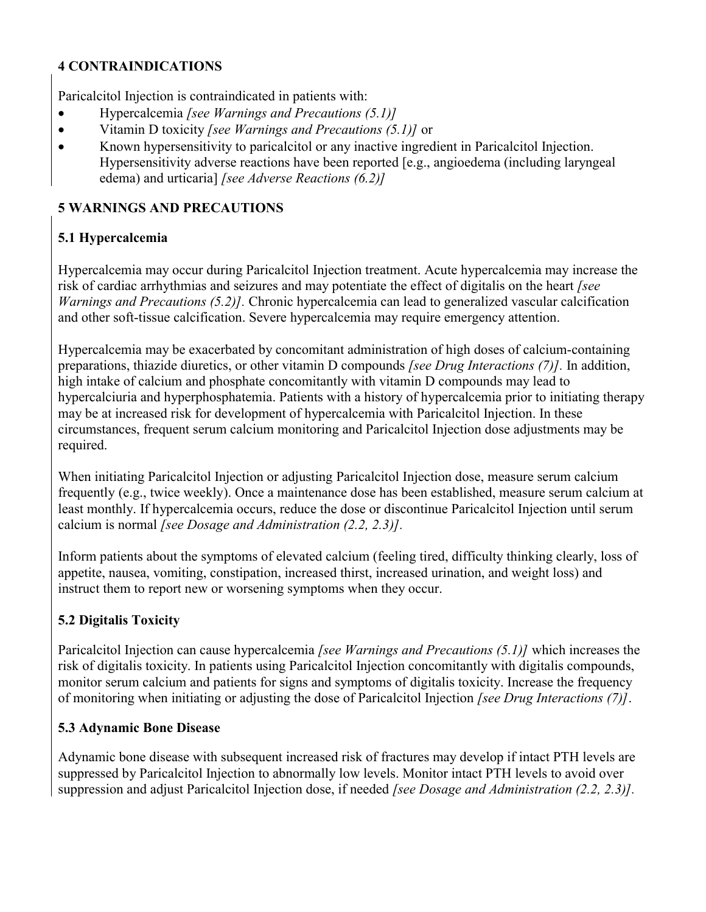# **4 CONTRAINDICATIONS**

Paricalcitol Injection is contraindicated in patients with:

- Hypercalcemia *[see Warnings and Precautions (5.1)]*
- Vitamin D toxicity *[see Warnings and Precautions (5.1)]* or
- Known hypersensitivity to paricalcitol or any inactive ingredient in Paricalcitol Injection. Hypersensitivity adverse reactions have been reported [e.g., angioedema (including laryngeal edema) and urticaria] *[see Adverse Reactions (6.2)]*

# **5 WARNINGS AND PRECAUTIONS**

# **5.1 Hypercalcemia**

Hypercalcemia may occur during Paricalcitol Injection treatment. Acute hypercalcemia may increase the risk of cardiac arrhythmias and seizures and may potentiate the effect of digitalis on the heart *[see Warnings and Precautions (5.2)].* Chronic hypercalcemia can lead to generalized vascular calcification and other soft-tissue calcification. Severe hypercalcemia may require emergency attention.

Hypercalcemia may be exacerbated by concomitant administration of high doses of calcium-containing preparations, thiazide diuretics, or other vitamin D compounds *[see Drug Interactions (7)].* In addition, high intake of calcium and phosphate concomitantly with vitamin D compounds may lead to hypercalciuria and hyperphosphatemia. Patients with a history of hypercalcemia prior to initiating therapy may be at increased risk for development of hypercalcemia with Paricalcitol Injection. In these circumstances, frequent serum calcium monitoring and Paricalcitol Injection dose adjustments may be required.

When initiating Paricalcitol Injection or adjusting Paricalcitol Injection dose, measure serum calcium frequently (e.g., twice weekly). Once a maintenance dose has been established, measure serum calcium at least monthly. If hypercalcemia occurs, reduce the dose or discontinue Paricalcitol Injection until serum calcium is normal *[see Dosage and Administration (2.2, 2.3)].*

Inform patients about the symptoms of elevated calcium (feeling tired, difficulty thinking clearly, loss of appetite, nausea, vomiting, constipation, increased thirst, increased urination, and weight loss) and instruct them to report new or worsening symptoms when they occur.

# **5.2 Digitalis Toxicity**

Paricalcitol Injection can cause hypercalcemia *[see Warnings and Precautions (5.1)]* which increases the risk of digitalis toxicity. In patients using Paricalcitol Injection concomitantly with digitalis compounds, monitor serum calcium and patients for signs and symptoms of digitalis toxicity. Increase the frequency of monitoring when initiating or adjusting the dose of Paricalcitol Injection *[see Drug Interactions (7)]*.

# **5.3 Adynamic Bone Disease**

Adynamic bone disease with subsequent increased risk of fractures may develop if intact PTH levels are suppressed by Paricalcitol Injection to abnormally low levels. Monitor intact PTH levels to avoid over suppression and adjust Paricalcitol Injection dose, if needed *[see Dosage and Administration (2.2, 2.3)].*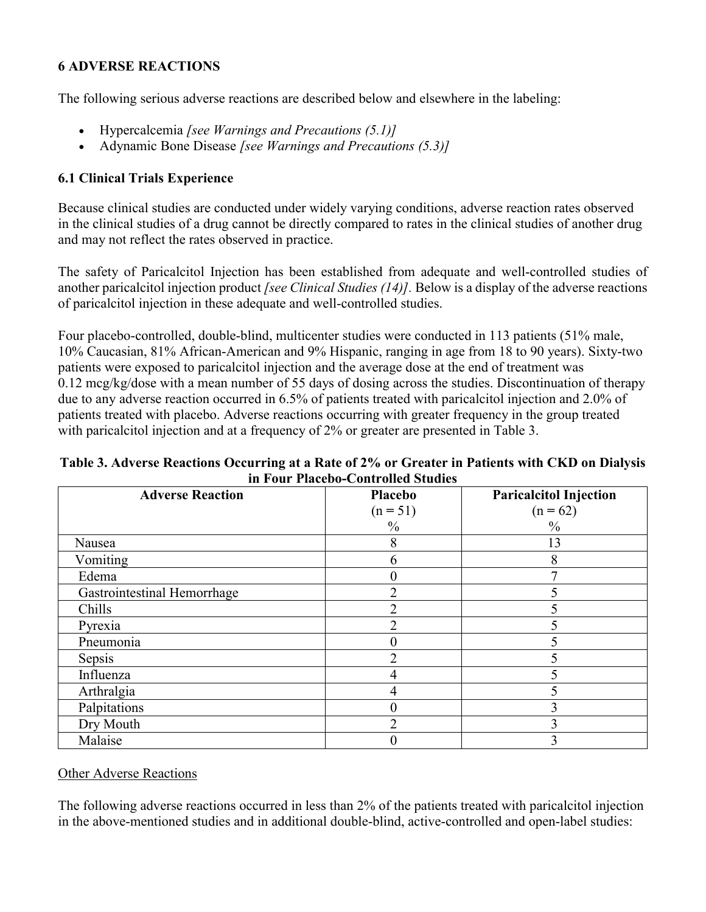# **6 ADVERSE REACTIONS**

The following serious adverse reactions are described below and elsewhere in the labeling:

- Hypercalcemia *[see Warnings and Precautions (5.1)]*
- Adynamic Bone Disease *[see Warnings and Precautions (5.3)]*

# **6.1 Clinical Trials Experience**

Because clinical studies are conducted under widely varying conditions, adverse reaction rates observed in the clinical studies of a drug cannot be directly compared to rates in the clinical studies of another drug and may not reflect the rates observed in practice.

The safety of Paricalcitol Injection has been established from adequate and well-controlled studies of another paricalcitol injection product *[see Clinical Studies (14)].* Below is a display of the adverse reactions of paricalcitol injection in these adequate and well-controlled studies.

Four placebo-controlled, double-blind, multicenter studies were conducted in 113 patients (51% male, 10% Caucasian, 81% African-American and 9% Hispanic, ranging in age from 18 to 90 years). Sixty-two patients were exposed to paricalcitol injection and the average dose at the end of treatment was 0.12 mcg/kg/dose with a mean number of 55 days of dosing across the studies. Discontinuation of therapy due to any adverse reaction occurred in 6.5% of patients treated with paricalcitol injection and 2.0% of patients treated with placebo. Adverse reactions occurring with greater frequency in the group treated with paricalcitol injection and at a frequency of 2% or greater are presented in Table 3.

## **Table 3. Adverse Reactions Occurring at a Rate of 2% or Greater in Patients with CKD on Dialysis in Four Placebo-Controlled Studies**

| <b>Adverse Reaction</b>     | <b>Placebo</b><br>$(n = 51)$<br>$\frac{0}{0}$ | <b>Paricalcitol Injection</b><br>$(n = 62)$<br>$\frac{0}{0}$ |
|-----------------------------|-----------------------------------------------|--------------------------------------------------------------|
| Nausea                      | 8                                             | 13                                                           |
| Vomiting                    | 6                                             | 8                                                            |
| Edema                       | 0                                             |                                                              |
| Gastrointestinal Hemorrhage | $\overline{2}$                                |                                                              |
| Chills                      | ∍                                             |                                                              |
| Pyrexia                     | ◠                                             |                                                              |
| Pneumonia                   | 0                                             |                                                              |
| Sepsis                      | $\overline{2}$                                |                                                              |
| Influenza                   | 4                                             |                                                              |
| Arthralgia                  | 4                                             |                                                              |
| Palpitations                | $\theta$                                      |                                                              |
| Dry Mouth                   | $\overline{2}$                                |                                                              |
| Malaise                     | 0                                             |                                                              |

# Other Adverse Reactions

The following adverse reactions occurred in less than 2% of the patients treated with paricalcitol injection in the above-mentioned studies and in additional double-blind, active-controlled and open-label studies: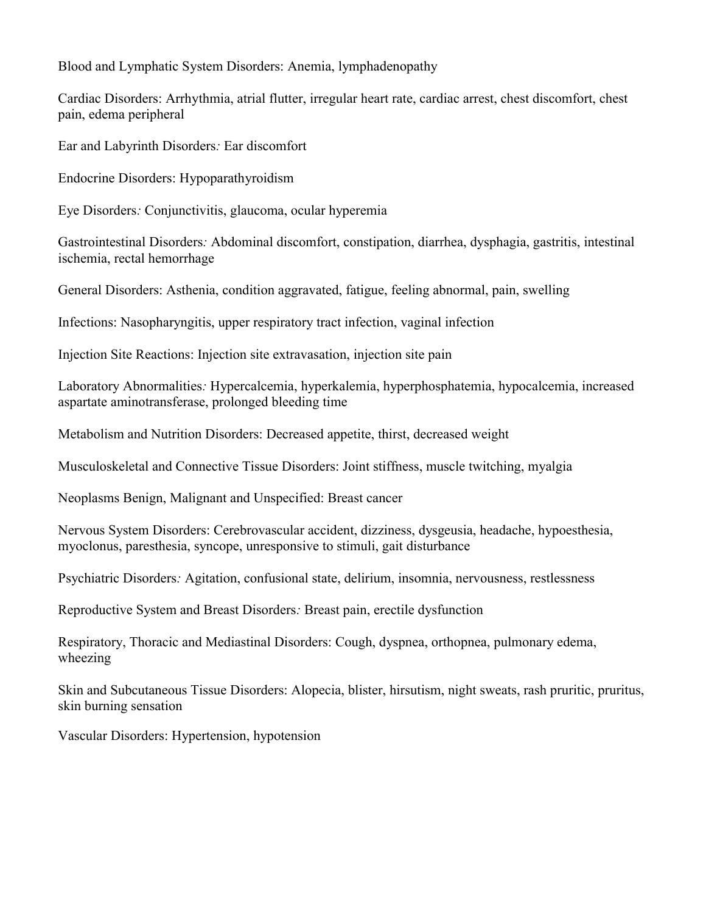Blood and Lymphatic System Disorders: Anemia, lymphadenopathy

Cardiac Disorders: Arrhythmia, atrial flutter, irregular heart rate, cardiac arrest, chest discomfort, chest pain, edema peripheral

Ear and Labyrinth Disorders*:* Ear discomfort

Endocrine Disorders: Hypoparathyroidism

Eye Disorders*:* Conjunctivitis, glaucoma, ocular hyperemia

Gastrointestinal Disorders*:* Abdominal discomfort, constipation, diarrhea, dysphagia, gastritis, intestinal ischemia, rectal hemorrhage

General Disorders: Asthenia, condition aggravated, fatigue, feeling abnormal, pain, swelling

Infections: Nasopharyngitis, upper respiratory tract infection, vaginal infection

Injection Site Reactions: Injection site extravasation, injection site pain

Laboratory Abnormalities*:* Hypercalcemia, hyperkalemia, hyperphosphatemia, hypocalcemia, increased aspartate aminotransferase, prolonged bleeding time

Metabolism and Nutrition Disorders: Decreased appetite, thirst, decreased weight

Musculoskeletal and Connective Tissue Disorders: Joint stiffness, muscle twitching, myalgia

Neoplasms Benign, Malignant and Unspecified: Breast cancer

Nervous System Disorders: Cerebrovascular accident, dizziness, dysgeusia, headache, hypoesthesia, myoclonus, paresthesia, syncope, unresponsive to stimuli, gait disturbance

Psychiatric Disorders*:* Agitation, confusional state, delirium, insomnia, nervousness, restlessness

Reproductive System and Breast Disorders*:* Breast pain, erectile dysfunction

Respiratory, Thoracic and Mediastinal Disorders: Cough, dyspnea, orthopnea, pulmonary edema, wheezing

Skin and Subcutaneous Tissue Disorders: Alopecia, blister, hirsutism, night sweats, rash pruritic, pruritus, skin burning sensation

Vascular Disorders: Hypertension, hypotension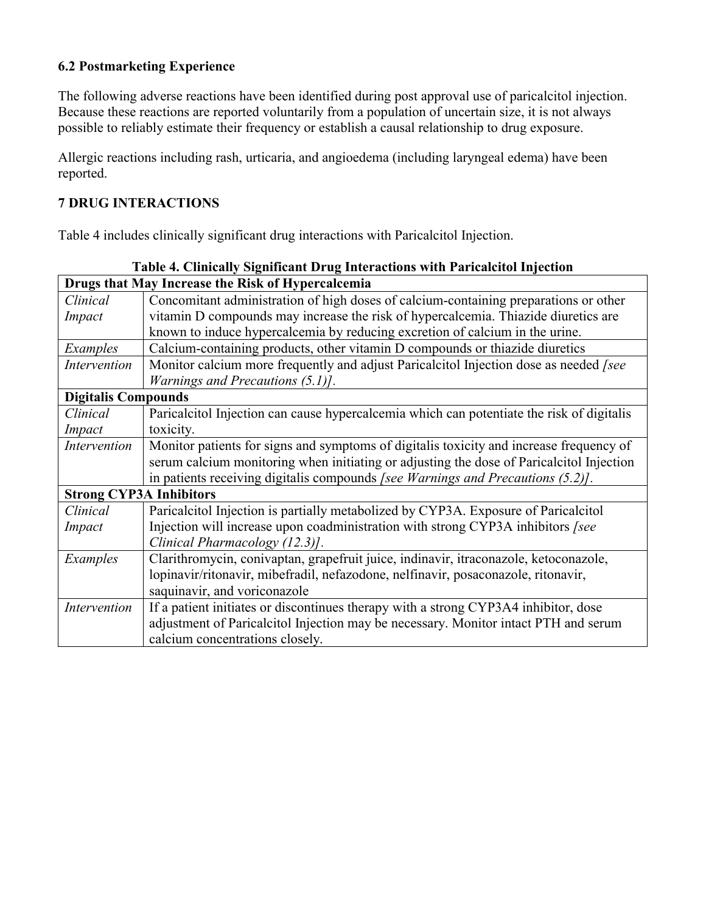# **6.2 Postmarketing Experience**

The following adverse reactions have been identified during post approval use of paricalcitol injection. Because these reactions are reported voluntarily from a population of uncertain size, it is not always possible to reliably estimate their frequency or establish a causal relationship to drug exposure.

Allergic reactions including rash, urticaria, and angioedema (including laryngeal edema) have been reported.

# **7 DRUG INTERACTIONS**

Table 4 includes clinically significant drug interactions with Paricalcitol Injection.

|                                | Table 4. Clinically Significant Drug Interactions with Paricalcitol Injection             |  |  |
|--------------------------------|-------------------------------------------------------------------------------------------|--|--|
|                                | Drugs that May Increase the Risk of Hypercalcemia                                         |  |  |
| Clinical                       | Concomitant administration of high doses of calcium-containing preparations or other      |  |  |
| Impact                         | vitamin D compounds may increase the risk of hypercalcemia. Thiazide diuretics are        |  |  |
|                                | known to induce hypercalcemia by reducing excretion of calcium in the urine.              |  |  |
| Examples                       | Calcium-containing products, other vitamin D compounds or thiazide diuretics              |  |  |
| Intervention                   | Monitor calcium more frequently and adjust Paricalcitol Injection dose as needed [see     |  |  |
|                                | <i>Warnings and Precautions (5.1)].</i>                                                   |  |  |
| <b>Digitalis Compounds</b>     |                                                                                           |  |  |
| Clinical                       | Paricalcitol Injection can cause hypercalcemia which can potentiate the risk of digitalis |  |  |
| Impact                         | toxicity.                                                                                 |  |  |
| Intervention                   | Monitor patients for signs and symptoms of digitalis toxicity and increase frequency of   |  |  |
|                                | serum calcium monitoring when initiating or adjusting the dose of Paricalcitol Injection  |  |  |
|                                | in patients receiving digitalis compounds [see Warnings and Precautions $(5.2)$ ].        |  |  |
| <b>Strong CYP3A Inhibitors</b> |                                                                                           |  |  |
| Clinical                       | Paricalcitol Injection is partially metabolized by CYP3A. Exposure of Paricalcitol        |  |  |
| Impact                         | Injection will increase upon coadministration with strong CYP3A inhibitors [see           |  |  |
|                                | Clinical Pharmacology (12.3)].                                                            |  |  |
| Examples                       | Clarithromycin, conivaptan, grapefruit juice, indinavir, itraconazole, ketoconazole,      |  |  |
|                                | lopinavir/ritonavir, mibefradil, nefazodone, nelfinavir, posaconazole, ritonavir,         |  |  |
|                                | saquinavir, and voriconazole                                                              |  |  |
| Intervention                   | If a patient initiates or discontinues therapy with a strong CYP3A4 inhibitor, dose       |  |  |
|                                | adjustment of Paricalcitol Injection may be necessary. Monitor intact PTH and serum       |  |  |
|                                | calcium concentrations closely.                                                           |  |  |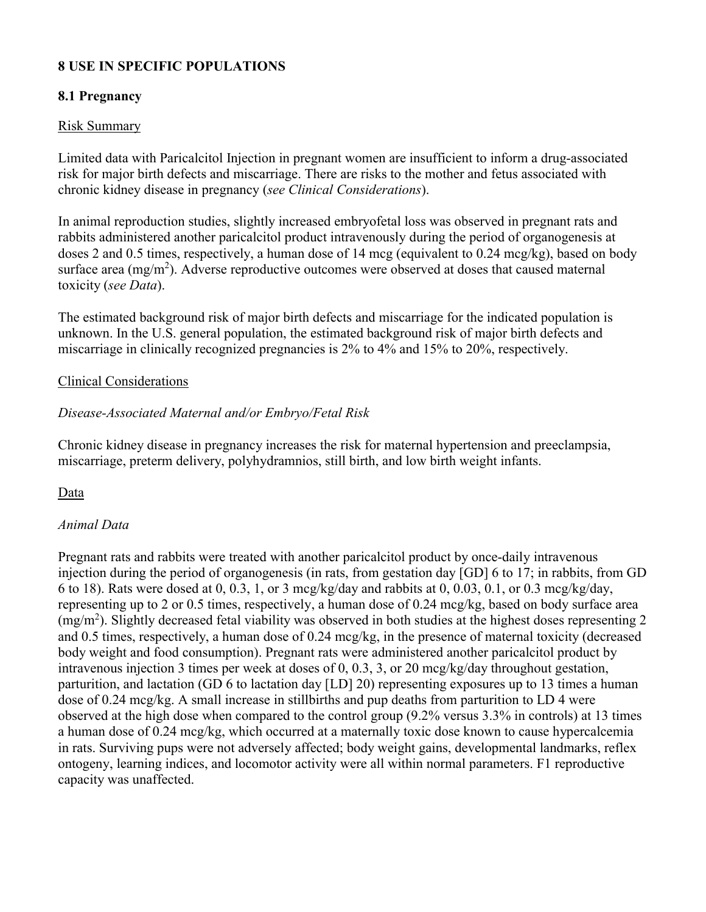# **8 USE IN SPECIFIC POPULATIONS**

## **8.1 Pregnancy**

## Risk Summary

Limited data with Paricalcitol Injection in pregnant women are insufficient to inform a drug-associated risk for major birth defects and miscarriage. There are risks to the mother and fetus associated with chronic kidney disease in pregnancy (*see Clinical Considerations*).

In animal reproduction studies, slightly increased embryofetal loss was observed in pregnant rats and rabbits administered another paricalcitol product intravenously during the period of organogenesis at doses 2 and 0.5 times, respectively, a human dose of 14 mcg (equivalent to 0.24 mcg/kg), based on body surface area  $(mg/m^2)$ . Adverse reproductive outcomes were observed at doses that caused maternal toxicity (*see Data*).

The estimated background risk of major birth defects and miscarriage for the indicated population is unknown. In the U.S. general population, the estimated background risk of major birth defects and miscarriage in clinically recognized pregnancies is 2% to 4% and 15% to 20%, respectively.

## Clinical Considerations

# *Disease-Associated Maternal and/or Embryo/Fetal Risk*

Chronic kidney disease in pregnancy increases the risk for maternal hypertension and preeclampsia, miscarriage, preterm delivery, polyhydramnios, still birth, and low birth weight infants.

## Data

# *Animal Data*

Pregnant rats and rabbits were treated with another paricalcitol product by once-daily intravenous injection during the period of organogenesis (in rats, from gestation day [GD] 6 to 17; in rabbits, from GD 6 to 18). Rats were dosed at 0, 0.3, 1, or 3 mcg/kg/day and rabbits at 0, 0.03, 0.1, or 0.3 mcg/kg/day, representing up to 2 or 0.5 times, respectively, a human dose of 0.24 mcg/kg, based on body surface area (mg/m<sup>2</sup> ). Slightly decreased fetal viability was observed in both studies at the highest doses representing 2 and 0.5 times, respectively, a human dose of 0.24 mcg/kg, in the presence of maternal toxicity (decreased body weight and food consumption). Pregnant rats were administered another paricalcitol product by intravenous injection 3 times per week at doses of 0, 0.3, 3, or 20 mcg/kg/day throughout gestation, parturition, and lactation (GD 6 to lactation day [LD] 20) representing exposures up to 13 times a human dose of 0.24 mcg/kg. A small increase in stillbirths and pup deaths from parturition to LD 4 were observed at the high dose when compared to the control group (9.2% versus 3.3% in controls) at 13 times a human dose of 0.24 mcg/kg, which occurred at a maternally toxic dose known to cause hypercalcemia in rats. Surviving pups were not adversely affected; body weight gains, developmental landmarks, reflex ontogeny, learning indices, and locomotor activity were all within normal parameters. F1 reproductive capacity was unaffected.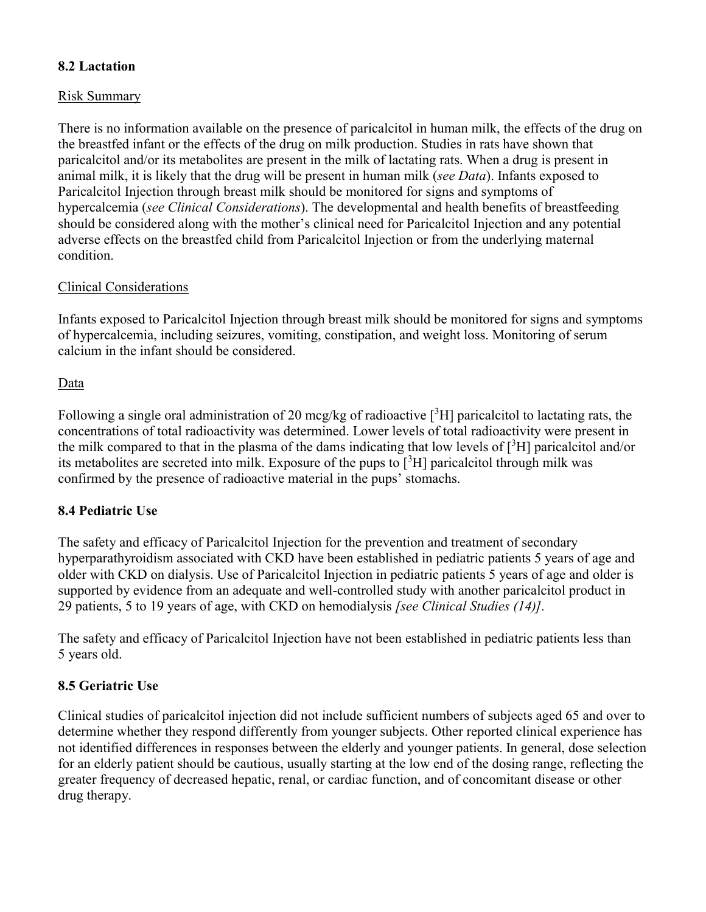# **8.2 Lactation**

## Risk Summary

There is no information available on the presence of paricalcitol in human milk, the effects of the drug on the breastfed infant or the effects of the drug on milk production. Studies in rats have shown that paricalcitol and/or its metabolites are present in the milk of lactating rats. When a drug is present in animal milk, it is likely that the drug will be present in human milk (*see Data*). Infants exposed to Paricalcitol Injection through breast milk should be monitored for signs and symptoms of hypercalcemia (*see Clinical Considerations*). The developmental and health benefits of breastfeeding should be considered along with the mother's clinical need for Paricalcitol Injection and any potential adverse effects on the breastfed child from Paricalcitol Injection or from the underlying maternal condition.

# Clinical Considerations

Infants exposed to Paricalcitol Injection through breast milk should be monitored for signs and symptoms of hypercalcemia, including seizures, vomiting, constipation, and weight loss. Monitoring of serum calcium in the infant should be considered.

## Data

Following a single oral administration of 20 mcg/kg of radioactive  $\binom{3}{1}$  paricalcitol to lactating rats, the concentrations of total radioactivity was determined. Lower levels of total radioactivity were present in the milk compared to that in the plasma of the dams indicating that low levels of  $\lceil$ <sup>3</sup>H] paricalcitol and/or its metabolites are secreted into milk. Exposure of the pups to  $\binom{3}{1}$  paricalcitol through milk was confirmed by the presence of radioactive material in the pups' stomachs.

# **8.4 Pediatric Use**

The safety and efficacy of Paricalcitol Injection for the prevention and treatment of secondary hyperparathyroidism associated with CKD have been established in pediatric patients 5 years of age and older with CKD on dialysis. Use of Paricalcitol Injection in pediatric patients 5 years of age and older is supported by evidence from an adequate and well-controlled study with another paricalcitol product in 29 patients, 5 to 19 years of age, with CKD on hemodialysis *[see Clinical Studies (14)].*

The safety and efficacy of Paricalcitol Injection have not been established in pediatric patients less than 5 years old.

# **8.5 Geriatric Use**

Clinical studies of paricalcitol injection did not include sufficient numbers of subjects aged 65 and over to determine whether they respond differently from younger subjects. Other reported clinical experience has not identified differences in responses between the elderly and younger patients. In general, dose selection for an elderly patient should be cautious, usually starting at the low end of the dosing range, reflecting the greater frequency of decreased hepatic, renal, or cardiac function, and of concomitant disease or other drug therapy.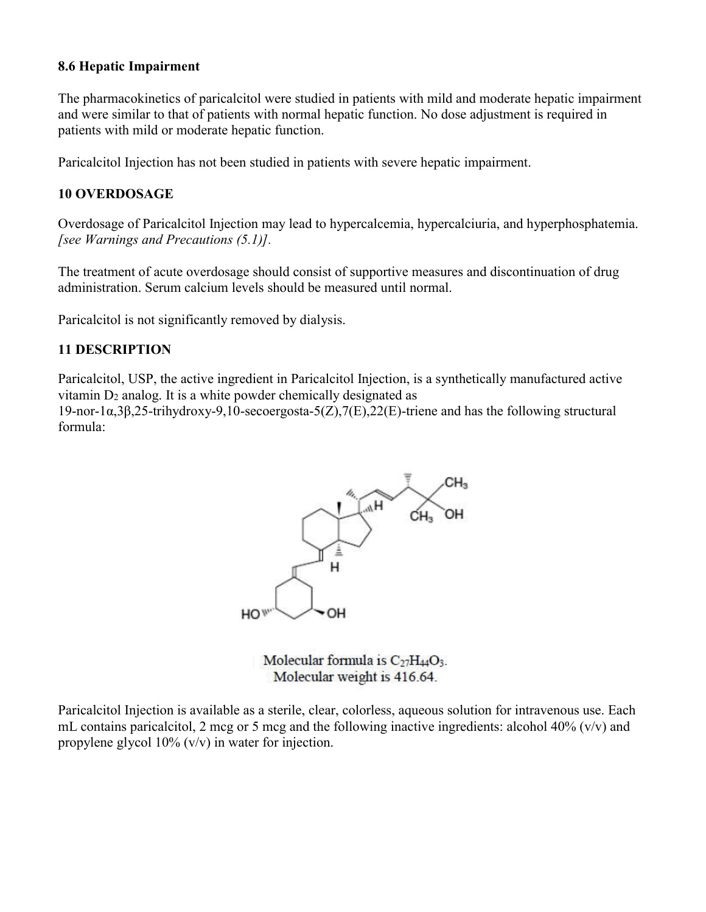## **8.6 Hepatic Impairment**

The pharmacokinetics of paricalcitol were studied in patients with mild and moderate hepatic impairment and were similar to that of patients with normal hepatic function. No dose adjustment is required in patients with mild or moderate hepatic function.

Paricalcitol Injection has not been studied in patients with severe hepatic impairment.

## **10 OVERDOSAGE**

Overdosage of Paricalcitol Injection may lead to hypercalcemia, hypercalciuria, and hyperphosphatemia. *[see Warnings and Precautions (5.1)].*

The treatment of acute overdosage should consist of supportive measures and discontinuation of drug administration. Serum calcium levels should be measured until normal.

Paricalcitol is not significantly removed by dialysis.

# **11 DESCRIPTION**

Paricalcitol, USP, the active ingredient in Paricalcitol Injection, is a synthetically manufactured active vitamin  $D_2$  analog. It is a white powder chemically designated as

19-nor-1α,3β,25-trihydroxy-9,10-secoergosta-5(Z),7(E),22(E)-triene and has the following structural formula:



Molecular formula is  $C_{27}H_{44}O_3$ . Molecular weight is 416.64.

Paricalcitol Injection is available as a sterile, clear, colorless, aqueous solution for intravenous use. Each mL contains paricalcitol, 2 mcg or 5 mcg and the following inactive ingredients: alcohol 40% ( $v/v$ ) and propylene glycol 10% (v/v) in water for injection.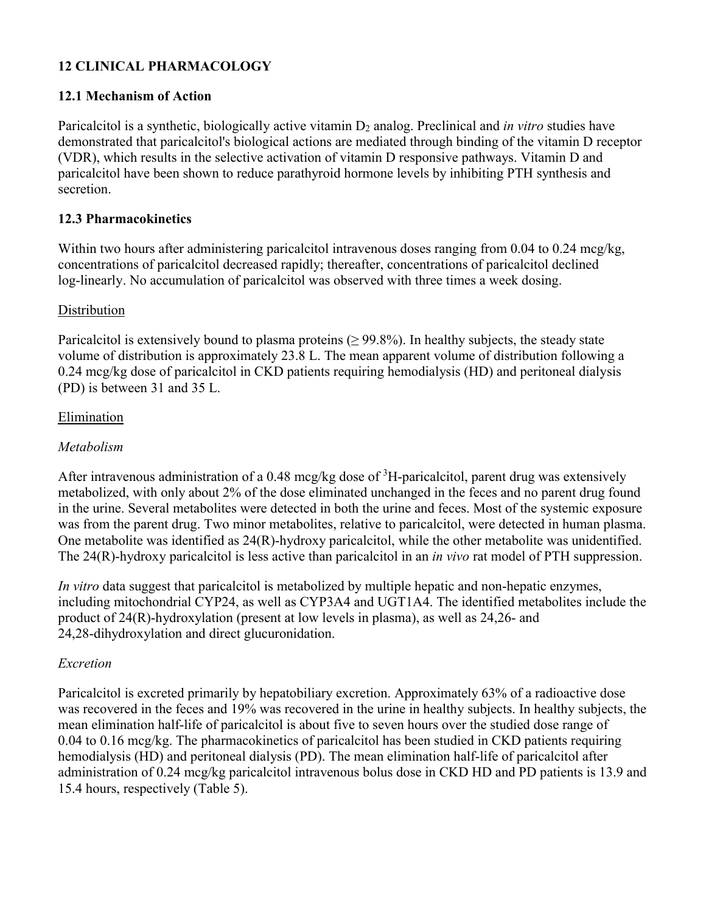# **12 CLINICAL PHARMACOLOGY**

# **12.1 Mechanism of Action**

Paricalcitol is a synthetic, biologically active vitamin D<sub>2</sub> analog. Preclinical and *in vitro* studies have demonstrated that paricalcitol's biological actions are mediated through binding of the vitamin D receptor (VDR), which results in the selective activation of vitamin D responsive pathways. Vitamin D and paricalcitol have been shown to reduce parathyroid hormone levels by inhibiting PTH synthesis and secretion.

# **12.3 Pharmacokinetics**

Within two hours after administering paricalcitol intravenous doses ranging from 0.04 to 0.24 mcg/kg, concentrations of paricalcitol decreased rapidly; thereafter, concentrations of paricalcitol declined log-linearly. No accumulation of paricalcitol was observed with three times a week dosing.

# Distribution

Paricalcitol is extensively bound to plasma proteins ( $\geq$  99.8%). In healthy subjects, the steady state volume of distribution is approximately 23.8 L. The mean apparent volume of distribution following a 0.24 mcg/kg dose of paricalcitol in CKD patients requiring hemodialysis (HD) and peritoneal dialysis (PD) is between 31 and 35 L.

## Elimination

# *Metabolism*

After intravenous administration of a 0.48 mcg/kg dose of  ${}^{3}$ H-paricalcitol, parent drug was extensively metabolized, with only about 2% of the dose eliminated unchanged in the feces and no parent drug found in the urine. Several metabolites were detected in both the urine and feces. Most of the systemic exposure was from the parent drug. Two minor metabolites, relative to paricalcitol, were detected in human plasma. One metabolite was identified as 24(R)-hydroxy paricalcitol, while the other metabolite was unidentified. The 24(R)-hydroxy paricalcitol is less active than paricalcitol in an *in vivo* rat model of PTH suppression.

*In vitro* data suggest that paricalcitol is metabolized by multiple hepatic and non-hepatic enzymes, including mitochondrial CYP24, as well as CYP3A4 and UGT1A4. The identified metabolites include the product of 24(R)-hydroxylation (present at low levels in plasma), as well as 24,26- and 24,28-dihydroxylation and direct glucuronidation.

# *Excretion*

Paricalcitol is excreted primarily by hepatobiliary excretion. Approximately 63% of a radioactive dose was recovered in the feces and 19% was recovered in the urine in healthy subjects. In healthy subjects, the mean elimination half-life of paricalcitol is about five to seven hours over the studied dose range of 0.04 to 0.16 mcg/kg. The pharmacokinetics of paricalcitol has been studied in CKD patients requiring hemodialysis (HD) and peritoneal dialysis (PD). The mean elimination half-life of paricalcitol after administration of 0.24 mcg/kg paricalcitol intravenous bolus dose in CKD HD and PD patients is 13.9 and 15.4 hours, respectively (Table 5).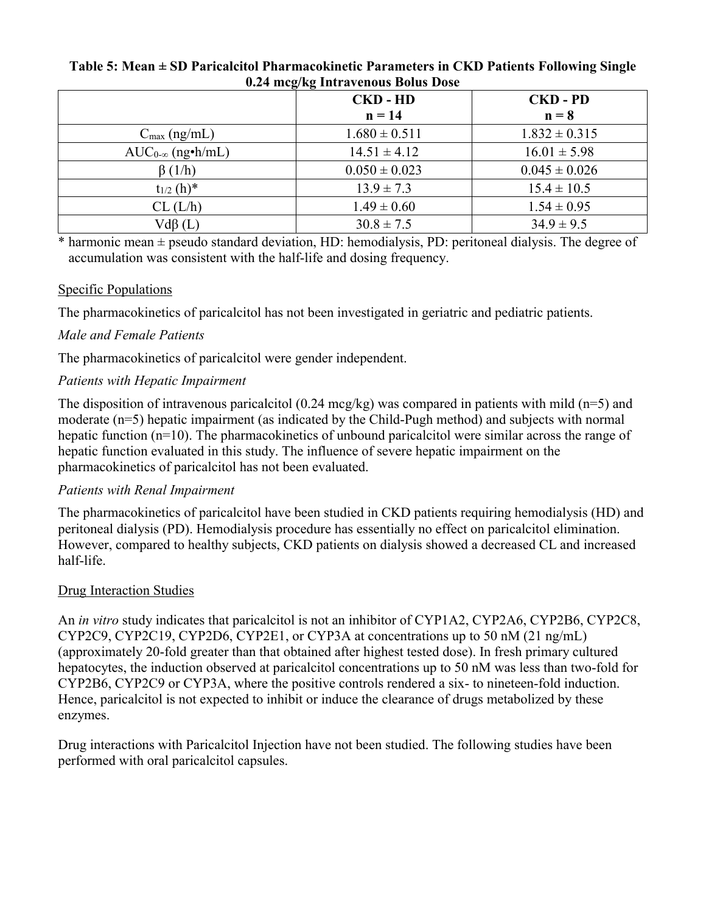| 0.24 mcg/kg Intravenous Bolus Dose |                   |                   |  |
|------------------------------------|-------------------|-------------------|--|
|                                    | <b>CKD-HD</b>     | <b>CKD-PD</b>     |  |
|                                    | $n = 14$          | $n = 8$           |  |
| $C_{\text{max}}$ (ng/mL)           | $1.680 \pm 0.511$ | $1.832 \pm 0.315$ |  |
| $AUC_{0-\infty}$ (ng•h/mL)         | $14.51 \pm 4.12$  | $16.01 \pm 5.98$  |  |
| $\beta(1/h)$                       | $0.050 \pm 0.023$ | $0.045 \pm 0.026$ |  |
| $t_{1/2}$ (h)*                     | $13.9 \pm 7.3$    | $15.4 \pm 10.5$   |  |
| CL (L/h)                           | $1.49 \pm 0.60$   | $1.54 \pm 0.95$   |  |
| $Vd\beta(L)$                       | $30.8 \pm 7.5$    | $34.9 \pm 9.5$    |  |

# **Table 5: Mean ± SD Paricalcitol Pharmacokinetic Parameters in CKD Patients Following Single**

 $*$  harmonic mean  $\pm$  pseudo standard deviation, HD: hemodialysis, PD: peritoneal dialysis. The degree of accumulation was consistent with the half-life and dosing frequency.

# Specific Populations

The pharmacokinetics of paricalcitol has not been investigated in geriatric and pediatric patients.

# *Male and Female Patients*

The pharmacokinetics of paricalcitol were gender independent.

# *Patients with Hepatic Impairment*

The disposition of intravenous paricalcitol (0.24 mcg/kg) was compared in patients with mild (n=5) and moderate (n=5) hepatic impairment (as indicated by the Child-Pugh method) and subjects with normal hepatic function (n=10). The pharmacokinetics of unbound paricalcitol were similar across the range of hepatic function evaluated in this study. The influence of severe hepatic impairment on the pharmacokinetics of paricalcitol has not been evaluated.

# *Patients with Renal Impairment*

The pharmacokinetics of paricalcitol have been studied in CKD patients requiring hemodialysis (HD) and peritoneal dialysis (PD). Hemodialysis procedure has essentially no effect on paricalcitol elimination. However, compared to healthy subjects, CKD patients on dialysis showed a decreased CL and increased half-life.

# Drug Interaction Studies

An *in vitro* study indicates that paricalcitol is not an inhibitor of CYP1A2, CYP2A6, CYP2B6, CYP2C8, CYP2C9, CYP2C19, CYP2D6, CYP2E1, or CYP3A at concentrations up to 50 nM (21 ng/mL) (approximately 20-fold greater than that obtained after highest tested dose). In fresh primary cultured hepatocytes, the induction observed at paricalcitol concentrations up to 50 nM was less than two-fold for CYP2B6, CYP2C9 or CYP3A, where the positive controls rendered a six- to nineteen-fold induction. Hence, paricalcitol is not expected to inhibit or induce the clearance of drugs metabolized by these enzymes.

Drug interactions with Paricalcitol Injection have not been studied. The following studies have been performed with oral paricalcitol capsules.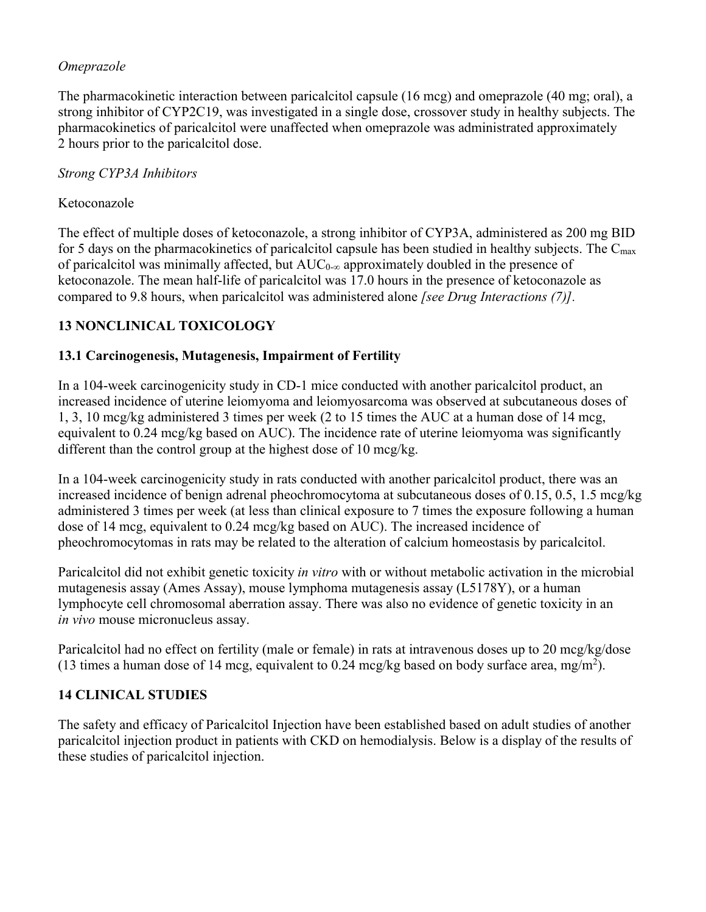# *Omeprazole*

The pharmacokinetic interaction between paricalcitol capsule (16 mcg) and omeprazole (40 mg; oral), a strong inhibitor of CYP2C19, was investigated in a single dose, crossover study in healthy subjects. The pharmacokinetics of paricalcitol were unaffected when omeprazole was administrated approximately 2 hours prior to the paricalcitol dose.

# *Strong CYP3A Inhibitors*

# Ketoconazole

The effect of multiple doses of ketoconazole, a strong inhibitor of CYP3A, administered as 200 mg BID for 5 days on the pharmacokinetics of paricalcitol capsule has been studied in healthy subjects. The  $C_{\text{max}}$ of paricalcitol was minimally affected, but  $AUC_{0-\infty}$  approximately doubled in the presence of ketoconazole. The mean half-life of paricalcitol was 17.0 hours in the presence of ketoconazole as compared to 9.8 hours, when paricalcitol was administered alone *[see Drug Interactions (7)].*

# **13 NONCLINICAL TOXICOLOGY**

# **13.1 Carcinogenesis, Mutagenesis, Impairment of Fertility**

In a 104-week carcinogenicity study in CD-1 mice conducted with another paricalcitol product, an increased incidence of uterine leiomyoma and leiomyosarcoma was observed at subcutaneous doses of 1, 3, 10 mcg/kg administered 3 times per week (2 to 15 times the AUC at a human dose of 14 mcg, equivalent to 0.24 mcg/kg based on AUC). The incidence rate of uterine leiomyoma was significantly different than the control group at the highest dose of 10 mcg/kg.

In a 104-week carcinogenicity study in rats conducted with another paricalcitol product, there was an increased incidence of benign adrenal pheochromocytoma at subcutaneous doses of 0.15, 0.5, 1.5 mcg/kg administered 3 times per week (at less than clinical exposure to 7 times the exposure following a human dose of 14 mcg, equivalent to 0.24 mcg/kg based on AUC). The increased incidence of pheochromocytomas in rats may be related to the alteration of calcium homeostasis by paricalcitol.

Paricalcitol did not exhibit genetic toxicity *in vitro* with or without metabolic activation in the microbial mutagenesis assay (Ames Assay), mouse lymphoma mutagenesis assay (L5178Y), or a human lymphocyte cell chromosomal aberration assay. There was also no evidence of genetic toxicity in an *in vivo* mouse micronucleus assay.

Paricalcitol had no effect on fertility (male or female) in rats at intravenous doses up to 20 mcg/kg/dose (13 times a human dose of 14 mcg, equivalent to 0.24 mcg/kg based on body surface area, mg/m<sup>2</sup>).

# **14 CLINICAL STUDIES**

The safety and efficacy of Paricalcitol Injection have been established based on adult studies of another paricalcitol injection product in patients with CKD on hemodialysis. Below is a display of the results of these studies of paricalcitol injection.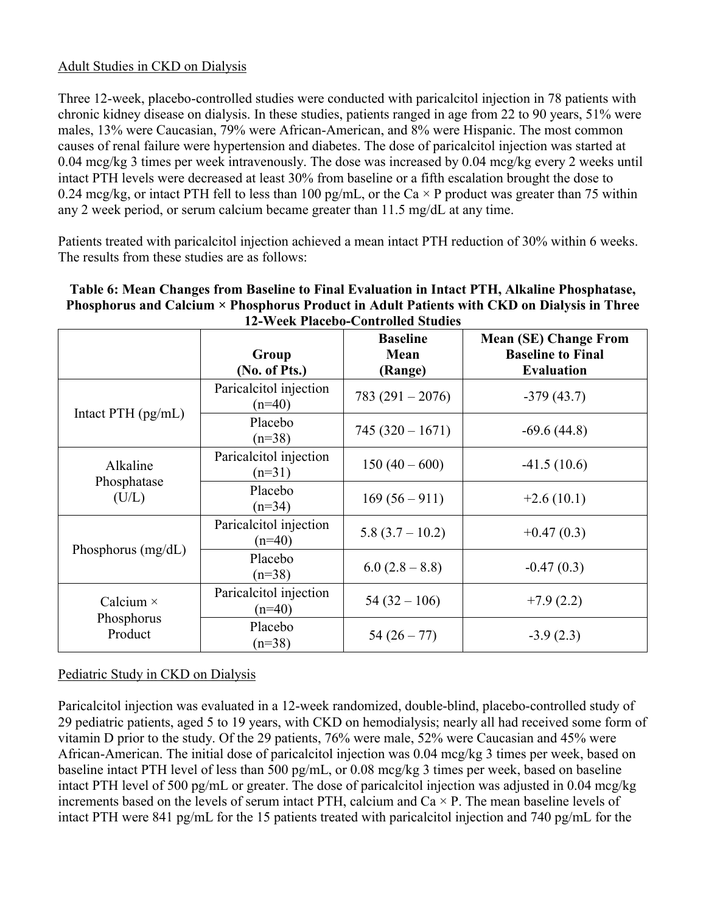# Adult Studies in CKD on Dialysis

Three 12-week, placebo-controlled studies were conducted with paricalcitol injection in 78 patients with chronic kidney disease on dialysis. In these studies, patients ranged in age from 22 to 90 years, 51% were males, 13% were Caucasian, 79% were African-American, and 8% were Hispanic. The most common causes of renal failure were hypertension and diabetes. The dose of paricalcitol injection was started at 0.04 mcg/kg 3 times per week intravenously. The dose was increased by 0.04 mcg/kg every 2 weeks until intact PTH levels were decreased at least 30% from baseline or a fifth escalation brought the dose to 0.24 mcg/kg, or intact PTH fell to less than 100 pg/mL, or the Ca  $\times$  P product was greater than 75 within any 2 week period, or serum calcium became greater than 11.5 mg/dL at any time.

Patients treated with paricalcitol injection achieved a mean intact PTH reduction of 30% within 6 weeks. The results from these studies are as follows:

| Table 6: Mean Changes from Baseline to Final Evaluation in Intact PTH, Alkaline Phosphatase, |
|----------------------------------------------------------------------------------------------|
| Phosphorus and Calcium × Phosphorus Product in Adult Patients with CKD on Dialysis in Three  |
| <b>12-Week Placebo-Controlled Studies</b>                                                    |

|                                           | Group<br>(No. of Pts.)             | <b>Baseline</b><br>Mean<br>(Range) | <b>Mean (SE) Change From</b><br><b>Baseline to Final</b><br><b>Evaluation</b> |
|-------------------------------------------|------------------------------------|------------------------------------|-------------------------------------------------------------------------------|
| Intact PTH $(pg/mL)$                      | Paricalcitol injection<br>$(n=40)$ | $783(291-2076)$                    | $-379(43.7)$                                                                  |
|                                           | Placebo<br>$(n=38)$                | $745(320 - 1671)$                  | $-69.6(44.8)$                                                                 |
| Alkaline<br>Phosphatase<br>(U/L)          | Paricalcitol injection<br>$(n=31)$ | $150(40-600)$                      | $-41.5(10.6)$                                                                 |
|                                           | Placebo<br>$(n=34)$                | $169(56-911)$                      | $+2.6(10.1)$                                                                  |
| Phosphorus (mg/dL)                        | Paricalcitol injection<br>$(n=40)$ | $5.8(3.7 - 10.2)$                  | $+0.47(0.3)$                                                                  |
|                                           | Placebo<br>$(n=38)$                | $6.0 (2.8 - 8.8)$                  | $-0.47(0.3)$                                                                  |
| Calcium $\times$<br>Phosphorus<br>Product | Paricalcitol injection<br>$(n=40)$ | $54(32-106)$                       | $+7.9(2.2)$                                                                   |
|                                           | Placebo<br>$(n=38)$                | $54(26-77)$                        | $-3.9(2.3)$                                                                   |

# Pediatric Study in CKD on Dialysis

Paricalcitol injection was evaluated in a 12-week randomized, double-blind, placebo-controlled study of 29 pediatric patients, aged 5 to 19 years, with CKD on hemodialysis; nearly all had received some form of vitamin D prior to the study. Of the 29 patients, 76% were male, 52% were Caucasian and 45% were African-American. The initial dose of paricalcitol injection was 0.04 mcg/kg 3 times per week, based on baseline intact PTH level of less than 500 pg/mL, or 0.08 mcg/kg 3 times per week, based on baseline intact PTH level of 500 pg/mL or greater. The dose of paricalcitol injection was adjusted in 0.04 mcg/kg increments based on the levels of serum intact PTH, calcium and  $Ca \times P$ . The mean baseline levels of intact PTH were 841 pg/mL for the 15 patients treated with paricalcitol injection and 740 pg/mL for the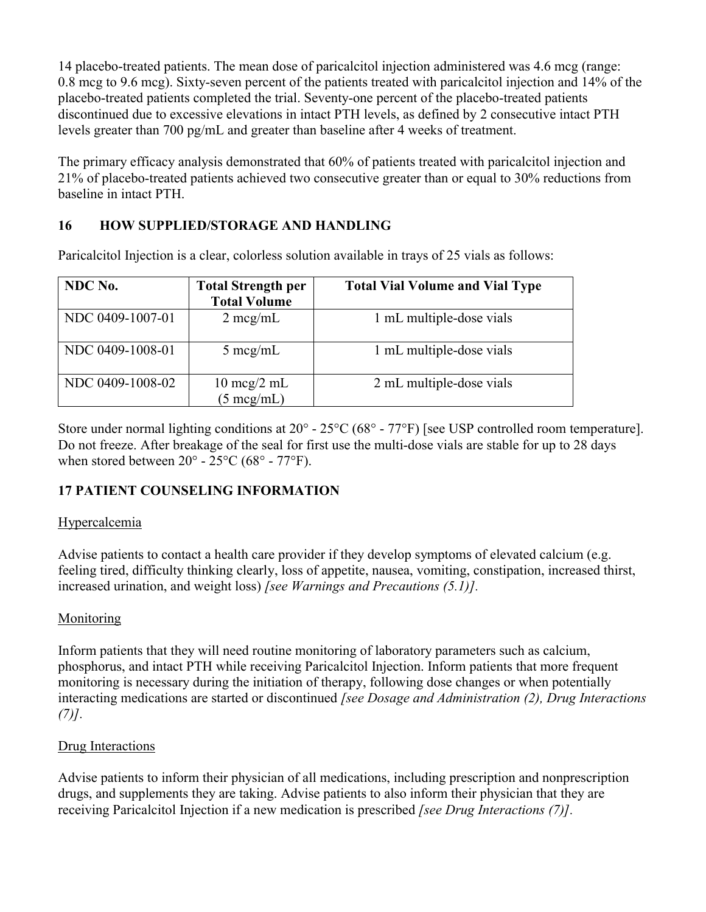14 placebo-treated patients. The mean dose of paricalcitol injection administered was 4.6 mcg (range: 0.8 mcg to 9.6 mcg). Sixty-seven percent of the patients treated with paricalcitol injection and 14% of the placebo-treated patients completed the trial. Seventy-one percent of the placebo-treated patients discontinued due to excessive elevations in intact PTH levels, as defined by 2 consecutive intact PTH levels greater than 700 pg/mL and greater than baseline after 4 weeks of treatment.

The primary efficacy analysis demonstrated that 60% of patients treated with paricalcitol injection and 21% of placebo-treated patients achieved two consecutive greater than or equal to 30% reductions from baseline in intact PTH.

# **16 HOW SUPPLIED/STORAGE AND HANDLING**

Paricalcitol Injection is a clear, colorless solution available in trays of 25 vials as follows:

| NDC No.          | <b>Total Strength per</b><br><b>Total Volume</b>      | <b>Total Vial Volume and Vial Type</b> |
|------------------|-------------------------------------------------------|----------------------------------------|
| NDC 0409-1007-01 | $2 \text{~mg/mL}$                                     | 1 mL multiple-dose vials               |
| NDC 0409-1008-01 | $5 \text{~mg/mL}$                                     | 1 mL multiple-dose vials               |
| NDC 0409-1008-02 | $10 \text{~mg}/2 \text{~m}$ L<br>$(5 \text{ mcg/mL})$ | 2 mL multiple-dose vials               |

Store under normal lighting conditions at 20° - 25°C (68° - 77°F) [see USP controlled room temperature]. Do not freeze. After breakage of the seal for first use the multi-dose vials are stable for up to 28 days when stored between  $20^{\circ}$  -  $25^{\circ}$ C (68° - 77°F).

# **17 PATIENT COUNSELING INFORMATION**

# Hypercalcemia

Advise patients to contact a health care provider if they develop symptoms of elevated calcium (e.g. feeling tired, difficulty thinking clearly, loss of appetite, nausea, vomiting, constipation, increased thirst, increased urination, and weight loss) *[see Warnings and Precautions (5.1)].*

# Monitoring

Inform patients that they will need routine monitoring of laboratory parameters such as calcium, phosphorus, and intact PTH while receiving Paricalcitol Injection. Inform patients that more frequent monitoring is necessary during the initiation of therapy, following dose changes or when potentially interacting medications are started or discontinued *[see Dosage and Administration (2), Drug Interactions (7)].*

# Drug Interactions

Advise patients to inform their physician of all medications, including prescription and nonprescription drugs, and supplements they are taking. Advise patients to also inform their physician that they are receiving Paricalcitol Injection if a new medication is prescribed *[see Drug Interactions (7)].*